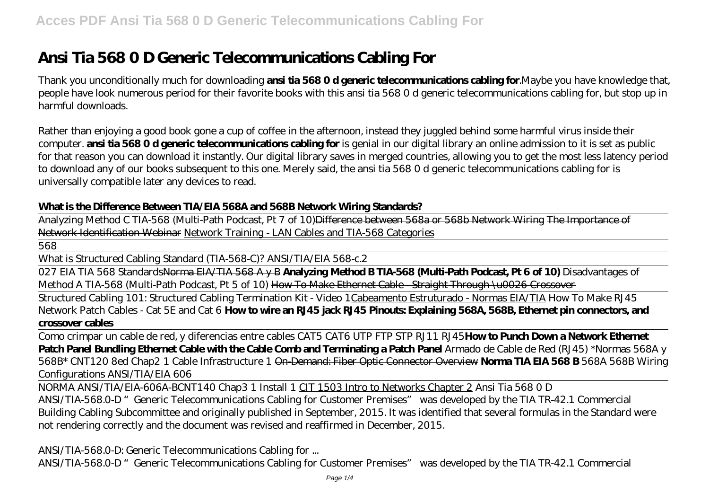# **Ansi Tia 568 0 D Generic Telecommunications Cabling For**

Thank you unconditionally much for downloading **ansi tia 568 0 d generic telecommunications cabling for**.Maybe you have knowledge that, people have look numerous period for their favorite books with this ansi tia 568 0 d generic telecommunications cabling for, but stop up in harmful downloads.

Rather than enjoying a good book gone a cup of coffee in the afternoon, instead they juggled behind some harmful virus inside their computer. **ansi tia 568 0 d generic telecommunications cabling for** is genial in our digital library an online admission to it is set as public for that reason you can download it instantly. Our digital library saves in merged countries, allowing you to get the most less latency period to download any of our books subsequent to this one. Merely said, the ansi tia 568 0 d generic telecommunications cabling for is universally compatible later any devices to read.

#### **What is the Difference Between TIA/EIA 568A and 568B Network Wiring Standards?**

Analyzing Method C TIA-568 (Multi-Path Podcast, Pt 7 of 10)Difference between 568a or 568b Network Wiring The Importance of Network Identification Webinar Network Training - LAN Cables and TIA-568 Categories

568

What is Structured Cabling Standard (TIA-568-C)? ANSI/TIA/EIA 568-c.2

027 EIA TIA 568 StandardsNorma EIA/TIA 568 A y B **Analyzing Method B TIA-568 (Multi-Path Podcast, Pt 6 of 10)** Disadvantages of Method A TIA-568 (Multi-Path Podcast, Pt 5 of 10) How To Make Ethernet Cable Straight Through \u0026 Crossover

Structured Cabling 101: Structured Cabling Termination Kit - Video 1Cabeamento Estruturado - Normas EIA/TIA How To Make RJ45 Network Patch Cables - Cat 5E and Cat 6 **How to wire an RJ45 jack RJ45 Pinouts: Explaining 568A, 568B, Ethernet pin connectors, and crossover cables**

Como crimpar un cable de red, y diferencias entre cables CAT5 CAT6 UTP FTP STP RJ11 RJ45**How to Punch Down a Network Ethernet Patch Panel Bundling Ethernet Cable with the Cable Comb and Terminating a Patch Panel** *Armado de Cable de Red (RJ45) \*Normas 568A y 568B\* CNT120 8ed Chap2 1 Cable Infrastructure 1* On-Demand: Fiber Optic Connector Overview **Norma TIA EIA 568 B** 568A 568B Wiring Configurations ANSI/TIA/EIA 606

NORMA ANSI/TIA/EIA-606A-B*CNT140 Chap3 1 Install 1* CIT 1503 Intro to Networks Chapter 2 *Ansi Tia 568 0 D* ANSI/TIA-568.0-D "Generic Telecommunications Cabling for Customer Premises" was developed by the TIA TR-42.1 Commercial Building Cabling Subcommittee and originally published in September, 2015. It was identified that several formulas in the Standard were not rendering correctly and the document was revised and reaffirmed in December, 2015.

*ANSI/TIA-568.0-D: Generic Telecommunications Cabling for ...*

ANSI/TIA-568.0-D "Generic Telecommunications Cabling for Customer Premises" was developed by the TIA TR-42.1 Commercial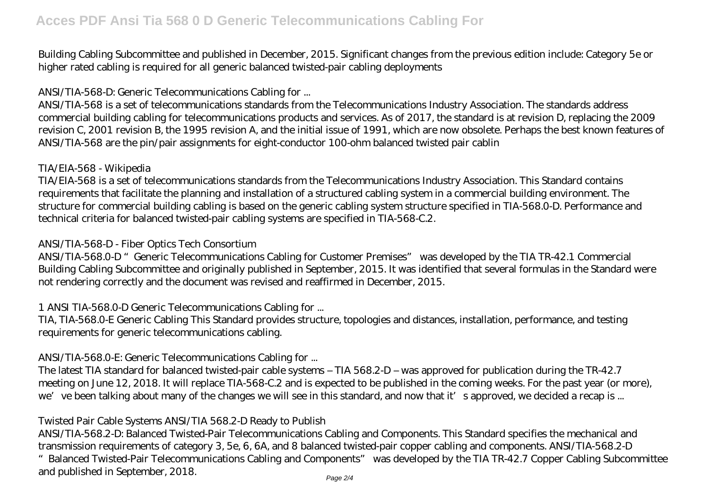Building Cabling Subcommittee and published in December, 2015. Significant changes from the previous edition include: Category 5e or higher rated cabling is required for all generic balanced twisted-pair cabling deployments

#### *ANSI/TIA-568-D: Generic Telecommunications Cabling for ...*

ANSI/TIA-568 is a set of telecommunications standards from the Telecommunications Industry Association. The standards address commercial building cabling for telecommunications products and services. As of 2017, the standard is at revision D, replacing the 2009 revision C, 2001 revision B, the 1995 revision A, and the initial issue of 1991, which are now obsolete. Perhaps the best known features of ANSI/TIA-568 are the pin/pair assignments for eight-conductor 100-ohm balanced twisted pair cablin

#### *TIA/EIA-568 - Wikipedia*

TIA/EIA-568 is a set of telecommunications standards from the Telecommunications Industry Association. This Standard contains requirements that facilitate the planning and installation of a structured cabling system in a commercial building environment. The structure for commercial building cabling is based on the generic cabling system structure specified in TIA-568.0-D. Performance and technical criteria for balanced twisted-pair cabling systems are specified in TIA-568-C.2.

#### *ANSI/TIA-568-D - Fiber Optics Tech Consortium*

ANSI/TIA-568.0-D "Generic Telecommunications Cabling for Customer Premises" was developed by the TIA TR-42.1 Commercial Building Cabling Subcommittee and originally published in September, 2015. It was identified that several formulas in the Standard were not rendering correctly and the document was revised and reaffirmed in December, 2015.

# *1 ANSI TIA-568.0-D Generic Telecommunications Cabling for ...*

TIA, TIA-568.0-E Generic Cabling This Standard provides structure, topologies and distances, installation, performance, and testing requirements for generic telecommunications cabling.

# *ANSI/TIA-568.0-E: Generic Telecommunications Cabling for ...*

The latest TIA standard for balanced twisted-pair cable systems – TIA 568.2-D – was approved for publication during the TR-42.7 meeting on June 12, 2018. It will replace TIA-568-C.2 and is expected to be published in the coming weeks. For the past year (or more), we've been talking about many of the changes we will see in this standard, and now that it's approved, we decided a recap is ...

# *Twisted Pair Cable Systems ANSI/TIA 568.2-D Ready to Publish*

ANSI/TIA-568.2-D: Balanced Twisted-Pair Telecommunications Cabling and Components. This Standard specifies the mechanical and transmission requirements of category 3, 5e, 6, 6A, and 8 balanced twisted-pair copper cabling and components. ANSI/TIA-568.2-D

"Balanced Twisted-Pair Telecommunications Cabling and Components" was developed by the TIA TR-42.7 Copper Cabling Subcommittee and published in September, 2018. Page 2/4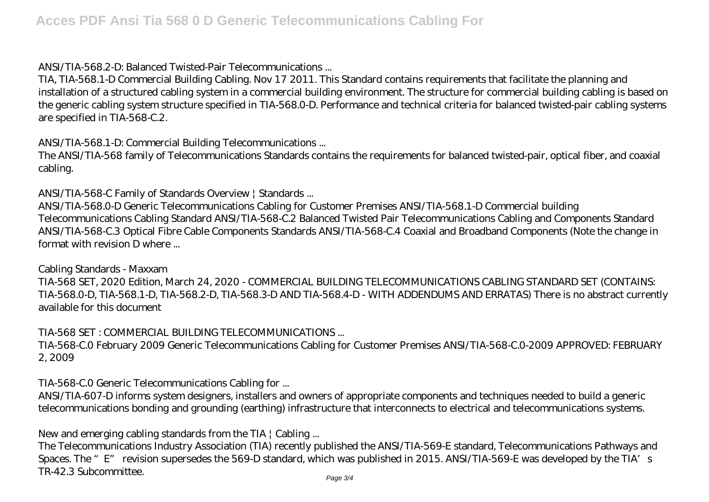# *ANSI/TIA-568.2-D: Balanced Twisted-Pair Telecommunications ...*

TIA, TIA-568.1-D Commercial Building Cabling. Nov 17 2011. This Standard contains requirements that facilitate the planning and installation of a structured cabling system in a commercial building environment. The structure for commercial building cabling is based on the generic cabling system structure specified in TIA-568.0-D. Performance and technical criteria for balanced twisted-pair cabling systems are specified in TIA-568-C.2.

#### *ANSI/TIA-568.1-D: Commercial Building Telecommunications ...*

The ANSI/TIA-568 family of Telecommunications Standards contains the requirements for balanced twisted-pair, optical fiber, and coaxial cabling.

#### *ANSI/TIA-568-C Family of Standards Overview | Standards ...*

ANSI/TIA-568.0-D Generic Telecommunications Cabling for Customer Premises ANSI/TIA-568.1-D Commercial building Telecommunications Cabling Standard ANSI/TIA-568-C.2 Balanced Twisted Pair Telecommunications Cabling and Components Standard ANSI/TIA-568-C.3 Optical Fibre Cable Components Standards ANSI/TIA-568-C.4 Coaxial and Broadband Components (Note the change in format with revision D where ...

#### *Cabling Standards - Maxxam*

TIA-568 SET, 2020 Edition, March 24, 2020 - COMMERCIAL BUILDING TELECOMMUNICATIONS CABLING STANDARD SET (CONTAINS: TIA-568.0-D, TIA-568.1-D, TIA-568.2-D, TIA-568.3-D AND TIA-568.4-D - WITH ADDENDUMS AND ERRATAS) There is no abstract currently available for this document

#### *TIA-568 SET : COMMERCIAL BUILDING TELECOMMUNICATIONS ...*

TIA-568-C.0 February 2009 Generic Telecommunications Cabling for Customer Premises ANSI/TIA-568-C.0-2009 APPROVED: FEBRUARY 2, 2009

# *TIA-568-C.0 Generic Telecommunications Cabling for ...*

ANSI/TIA-607-D informs system designers, installers and owners of appropriate components and techniques needed to build a generic telecommunications bonding and grounding (earthing) infrastructure that interconnects to electrical and telecommunications systems.

# *New and emerging cabling standards from the TIA | Cabling ...*

The Telecommunications Industry Association (TIA) recently published the ANSI/TIA-569-E standard, Telecommunications Pathways and Spaces. The "E" revision supersedes the 569-D standard, which was published in 2015. ANSI/TIA-569-E was developed by the TIA's TR-42.3 Subcommittee.